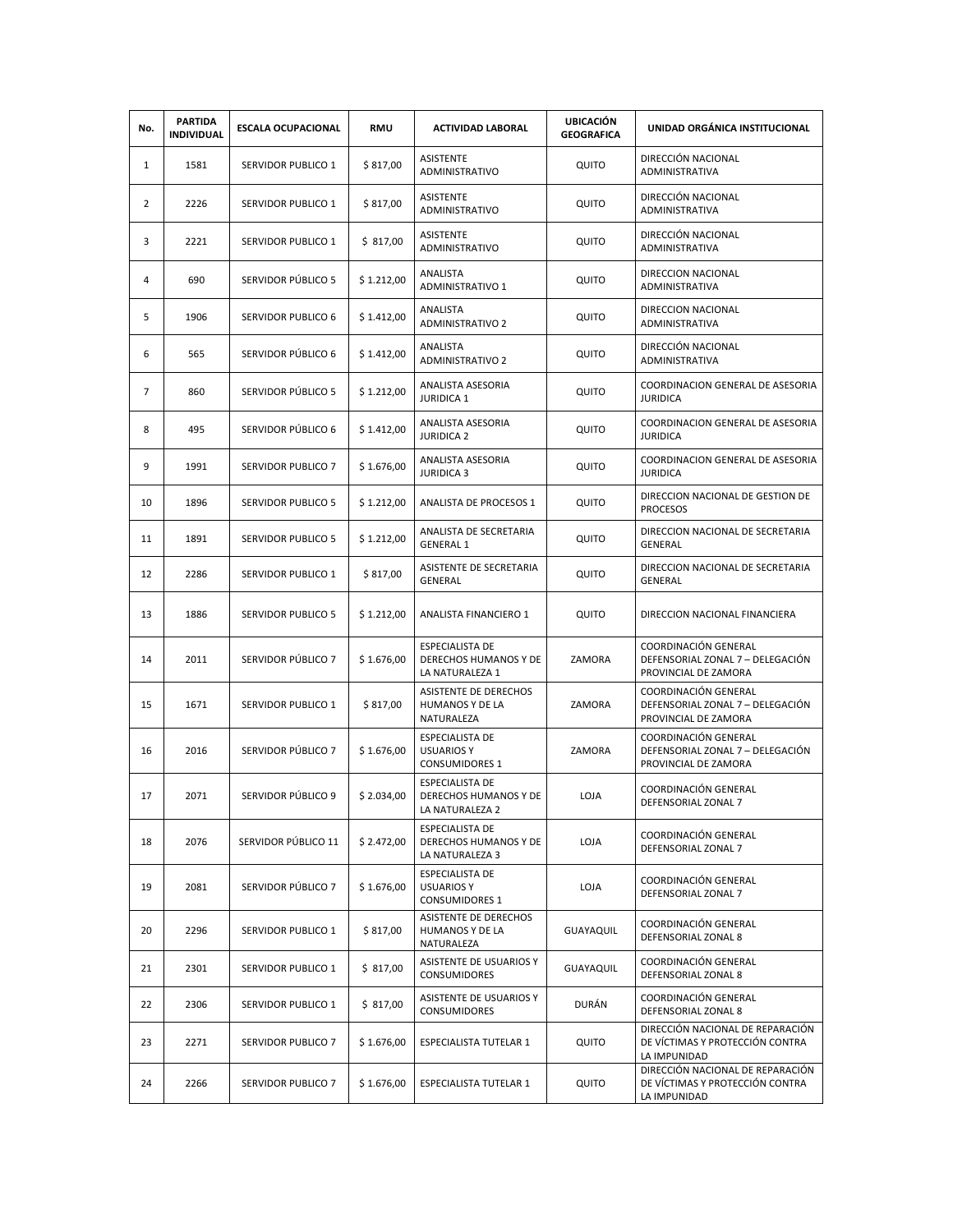| No.            | <b>PARTIDA</b><br><b>INDIVIDUAL</b> | <b>ESCALA OCUPACIONAL</b> | <b>RMU</b> | <b>ACTIVIDAD LABORAL</b>                                             | <b>UBICACIÓN</b><br><b>GEOGRAFICA</b> | UNIDAD ORGÁNICA INSTITUCIONAL                                                       |
|----------------|-------------------------------------|---------------------------|------------|----------------------------------------------------------------------|---------------------------------------|-------------------------------------------------------------------------------------|
| $\mathbf{1}$   | 1581                                | SERVIDOR PUBLICO 1        | \$817,00   | <b>ASISTENTE</b><br><b>ADMINISTRATIVO</b>                            | QUITO                                 | DIRECCIÓN NACIONAL<br>ADMINISTRATIVA                                                |
| $\overline{2}$ | 2226                                | SERVIDOR PUBLICO 1        | \$817,00   | ASISTENTE<br>ADMINISTRATIVO                                          | QUITO                                 | DIRECCIÓN NACIONAL<br>ADMINISTRATIVA                                                |
| 3              | 2221                                | SERVIDOR PUBLICO 1        | \$317,00   | <b>ASISTENTE</b><br>ADMINISTRATIVO                                   | QUITO                                 | DIRECCIÓN NACIONAL<br>ADMINISTRATIVA                                                |
| 4              | 690                                 | SERVIDOR PÚBLICO 5        | \$1.212,00 | ANALISTA<br><b>ADMINISTRATIVO 1</b>                                  | QUITO                                 | DIRECCION NACIONAL<br>ADMINISTRATIVA                                                |
| 5              | 1906                                | SERVIDOR PUBLICO 6        | \$1.412,00 | <b>ANALISTA</b><br><b>ADMINISTRATIVO 2</b>                           | QUITO                                 | DIRECCION NACIONAL<br>ADMINISTRATIVA                                                |
| 6              | 565                                 | SERVIDOR PÚBLICO 6        | \$1.412,00 | ANALISTA<br><b>ADMINISTRATIVO 2</b>                                  | QUITO                                 | DIRECCIÓN NACIONAL<br>ADMINISTRATIVA                                                |
| $\overline{7}$ | 860                                 | SERVIDOR PÚBLICO 5        | \$1.212,00 | ANALISTA ASESORIA<br><b>JURIDICA 1</b>                               | QUITO                                 | COORDINACION GENERAL DE ASESORIA<br><b>JURIDICA</b>                                 |
| 8              | 495                                 | SERVIDOR PÚBLICO 6        | \$1.412,00 | ANALISTA ASESORIA<br><b>JURIDICA 2</b>                               | QUITO                                 | COORDINACION GENERAL DE ASESORIA<br><b>JURIDICA</b>                                 |
| 9              | 1991                                | <b>SERVIDOR PUBLICO 7</b> | \$1.676,00 | ANALISTA ASESORIA<br><b>JURIDICA 3</b>                               | QUITO                                 | COORDINACION GENERAL DE ASESORIA<br><b>JURIDICA</b>                                 |
| 10             | 1896                                | SERVIDOR PUBLICO 5        | \$1.212,00 | ANALISTA DE PROCESOS 1                                               | QUITO                                 | DIRECCION NACIONAL DE GESTION DE<br><b>PROCESOS</b>                                 |
| 11             | 1891                                | <b>SERVIDOR PUBLICO 5</b> | \$1.212,00 | ANALISTA DE SECRETARIA<br><b>GENERAL 1</b>                           | QUITO                                 | DIRECCION NACIONAL DE SECRETARIA<br><b>GENERAL</b>                                  |
| 12             | 2286                                | SERVIDOR PUBLICO 1        | \$817,00   | ASISTENTE DE SECRETARIA<br>GENERAL                                   | QUITO                                 | DIRECCION NACIONAL DE SECRETARIA<br>GENERAL                                         |
| 13             | 1886                                | <b>SERVIDOR PUBLICO 5</b> | \$1.212,00 | ANALISTA FINANCIERO 1                                                | QUITO                                 | DIRECCION NACIONAL FINANCIERA                                                       |
| 14             | 2011                                | SERVIDOR PÚBLICO 7        | \$1.676,00 | <b>ESPECIALISTA DE</b><br>DERECHOS HUMANOS Y DE<br>LA NATURALEZA 1   | ZAMORA                                | COORDINACIÓN GENERAL<br>DEFENSORIAL ZONAL 7 - DELEGACIÓN<br>PROVINCIAL DE ZAMORA    |
| 15             | 1671                                | SERVIDOR PUBLICO 1        | \$817,00   | ASISTENTE DE DERECHOS<br>HUMANOS Y DE LA<br>NATURALEZA               | ZAMORA                                | COORDINACIÓN GENERAL<br>DEFENSORIAL ZONAL 7 - DELEGACIÓN<br>PROVINCIAL DE ZAMORA    |
| 16             | 2016                                | SERVIDOR PÚBLICO 7        | \$1.676,00 | <b>ESPECIALISTA DE</b><br><b>USUARIOS Y</b><br><b>CONSUMIDORES 1</b> | ZAMORA                                | COORDINACIÓN GENERAL<br>DEFENSORIAL ZONAL 7 - DELEGACIÓN<br>PROVINCIAL DE ZAMORA    |
| 17             | 2071                                | SERVIDOR PÚBLICO 9        | \$2.034,00 | <b>ESPECIALISTA DE</b><br>DERECHOS HUMANOS Y DE<br>LA NATURALEZA 2   | LOJA                                  | COORDINACIÓN GENERAL<br>DEFENSORIAL ZONAL 7                                         |
| 18             | 2076                                | SERVIDOR PÚBLICO 11       | \$2.472,00 | <b>ESPECIALISTA DE</b><br>DERECHOS HUMANOS Y DE<br>LA NATURALEZA 3   | LOJA                                  | COORDINACIÓN GENERAL<br>DEFENSORIAL ZONAL 7                                         |
| 19             | 2081                                | SERVIDOR PÚBLICO 7        | \$1.676,00 | <b>ESPECIALISTA DE</b><br><b>USUARIOS Y</b><br><b>CONSUMIDORES 1</b> | LOJA                                  | COORDINACIÓN GENERAL<br>DEFENSORIAL ZONAL 7                                         |
| 20             | 2296                                | SERVIDOR PUBLICO 1        | \$817,00   | ASISTENTE DE DERECHOS<br>HUMANOS Y DE LA<br>NATURALEZA               | GUAYAQUIL                             | COORDINACIÓN GENERAL<br>DEFENSORIAL ZONAL 8                                         |
| 21             | 2301                                | SERVIDOR PUBLICO 1        | \$817,00   | <b>ASISTENTE DE USUARIOS Y</b><br><b>CONSUMIDORES</b>                | GUAYAQUIL                             | COORDINACIÓN GENERAL<br>DEFENSORIAL ZONAL 8                                         |
| 22             | 2306                                | SERVIDOR PUBLICO 1        | \$317,00   | ASISTENTE DE USUARIOS Y<br>CONSUMIDORES                              | DURÁN                                 | COORDINACIÓN GENERAL<br>DEFENSORIAL ZONAL 8                                         |
| 23             | 2271                                | SERVIDOR PUBLICO 7        | \$1.676,00 | ESPECIALISTA TUTELAR 1                                               | QUITO                                 | DIRECCIÓN NACIONAL DE REPARACIÓN<br>DE VÍCTIMAS Y PROTECCIÓN CONTRA<br>LA IMPUNIDAD |
| 24             | 2266                                | SERVIDOR PUBLICO 7        | \$1.676,00 | ESPECIALISTA TUTELAR 1                                               | QUITO                                 | DIRECCIÓN NACIONAL DE REPARACIÓN<br>DE VÍCTIMAS Y PROTECCIÓN CONTRA<br>LA IMPUNIDAD |